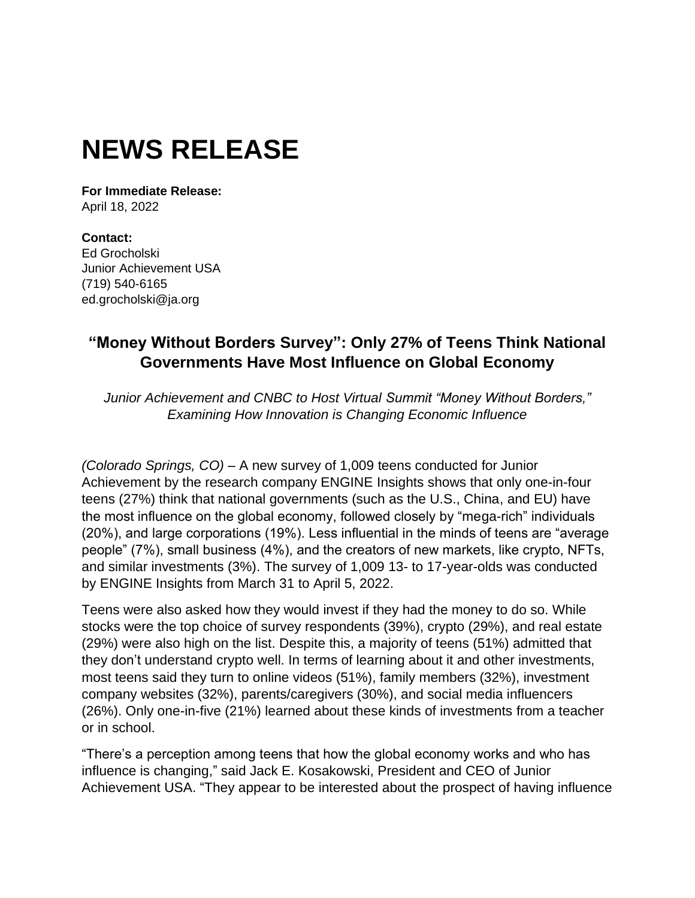# **NEWS RELEASE**

**For Immediate Release:** April 18, 2022

**Contact:** Ed Grocholski Junior Achievement USA (719) 540-6165 ed.grocholski@ja.org

## **"Money Without Borders Survey": Only 27% of Teens Think National Governments Have Most Influence on Global Economy**

*Junior Achievement and CNBC to Host Virtual Summit "Money Without Borders," Examining How Innovation is Changing Economic Influence*

*(Colorado Springs, CO)* – A new survey of 1,009 teens conducted for Junior Achievement by the research company ENGINE Insights shows that only one-in-four teens (27%) think that national governments (such as the U.S., China, and EU) have the most influence on the global economy, followed closely by "mega-rich" individuals (20%), and large corporations (19%). Less influential in the minds of teens are "average people" (7%), small business (4%), and the creators of new markets, like crypto, NFTs, and similar investments (3%). The survey of 1,009 13- to 17-year-olds was conducted by ENGINE Insights from March 31 to April 5, 2022.

Teens were also asked how they would invest if they had the money to do so. While stocks were the top choice of survey respondents (39%), crypto (29%), and real estate (29%) were also high on the list. Despite this, a majority of teens (51%) admitted that they don't understand crypto well. In terms of learning about it and other investments, most teens said they turn to online videos (51%), family members (32%), investment company websites (32%), parents/caregivers (30%), and social media influencers (26%). Only one-in-five (21%) learned about these kinds of investments from a teacher or in school.

"There's a perception among teens that how the global economy works and who has influence is changing," said Jack E. Kosakowski, President and CEO of Junior Achievement USA. "They appear to be interested about the prospect of having influence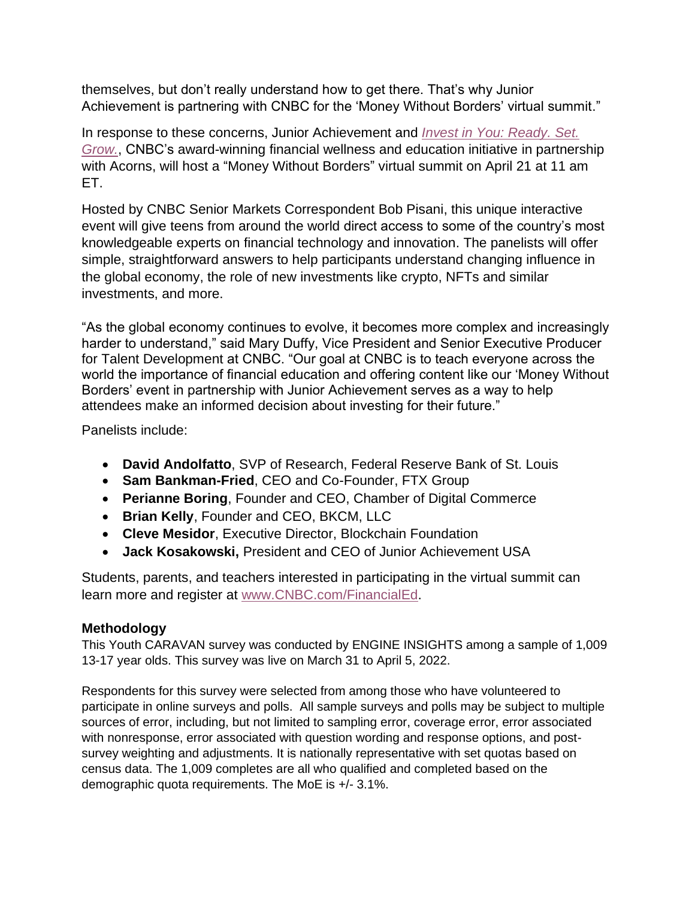themselves, but don't really understand how to get there. That's why Junior Achievement is partnering with CNBC for the 'Money Without Borders' virtual summit."

In response to these concerns, Junior Achievement and *[Invest in You: Ready. Set.](https://www.cnbc.com/invest-in-you/)  [Grow.](https://www.cnbc.com/invest-in-you/)*, CNBC's award-winning financial wellness and education initiative in partnership with Acorns, will host a "Money Without Borders" virtual summit on April 21 at 11 am ET.

Hosted by CNBC Senior Markets Correspondent Bob Pisani, this unique interactive event will give teens from around the world direct access to some of the country's most knowledgeable experts on financial technology and innovation. The panelists will offer simple, straightforward answers to help participants understand changing influence in the global economy, the role of new investments like crypto, NFTs and similar investments, and more.

"As the global economy continues to evolve, it becomes more complex and increasingly harder to understand," said Mary Duffy, Vice President and Senior Executive Producer for Talent Development at CNBC. "Our goal at CNBC is to teach everyone across the world the importance of financial education and offering content like our 'Money Without Borders' event in partnership with Junior Achievement serves as a way to help attendees make an informed decision about investing for their future."

Panelists include:

- **David Andolfatto**, SVP of Research, Federal Reserve Bank of St. Louis
- **Sam Bankman-Fried**, CEO and Co-Founder, FTX Group
- **Perianne Boring**, Founder and CEO, Chamber of Digital Commerce
- **Brian Kelly**, Founder and CEO, BKCM, LLC
- **Cleve Mesidor**, Executive Director, Blockchain Foundation
- **Jack Kosakowski,** President and CEO of Junior Achievement USA

Students, parents, and teachers interested in participating in the virtual summit can learn more and register at [www.CNBC.com/FinancialEd.](http://www.cnbc.com/FinancialEd)

### **Methodology**

This Youth CARAVAN survey was conducted by ENGINE INSIGHTS among a sample of 1,009 13-17 year olds. This survey was live on March 31 to April 5, 2022.

Respondents for this survey were selected from among those who have volunteered to participate in online surveys and polls. All sample surveys and polls may be subject to multiple sources of error, including, but not limited to sampling error, coverage error, error associated with nonresponse, error associated with question wording and response options, and postsurvey weighting and adjustments. It is nationally representative with set quotas based on census data. The 1,009 completes are all who qualified and completed based on the demographic quota requirements. The MoE is +/- 3.1%.